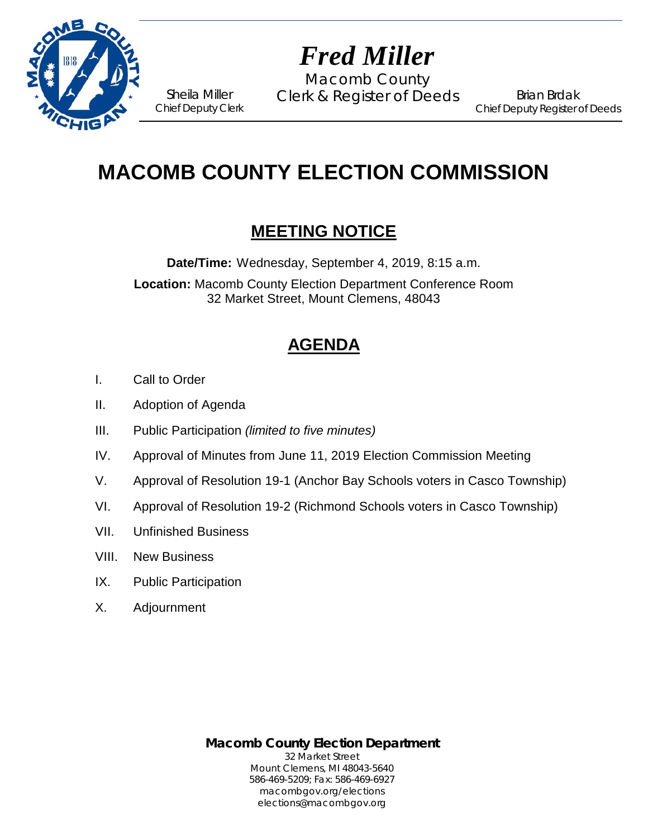

# *Fred Miller*

Macomb County Sheila Miller Clerk & Register of Deeds<br>Chief Deputy Clerk

Brian Brdak Chief Deputy Register of Deeds

# **MACOMB COUNTY ELECTION COMMISSION**

# **MEETING NOTICE**

**Date/Time:** Wednesday, September 4, 2019, 8:15 a.m.

**Location:** Macomb County Election Department Conference Room 32 Market Street, Mount Clemens, 48043

# **AGENDA**

- I. Call to Order
- II. Adoption of Agenda
- III. Public Participation *(limited to five minutes)*
- IV. Approval of Minutes from June 11, 2019 Election Commission Meeting
- V. Approval of Resolution 19-1 (Anchor Bay Schools voters in Casco Township)
- VI. Approval of Resolution 19-2 (Richmond Schools voters in Casco Township)
- VII. Unfinished Business
- VIII. New Business
- IX. Public Participation
- X. Adjournment

**Macomb County Election Department** 32 Market Street Mount Clemens, MI 48043-5640 586-469-5209; Fax: 586-469-6927 macombgov.org/elections elections@macombgov.org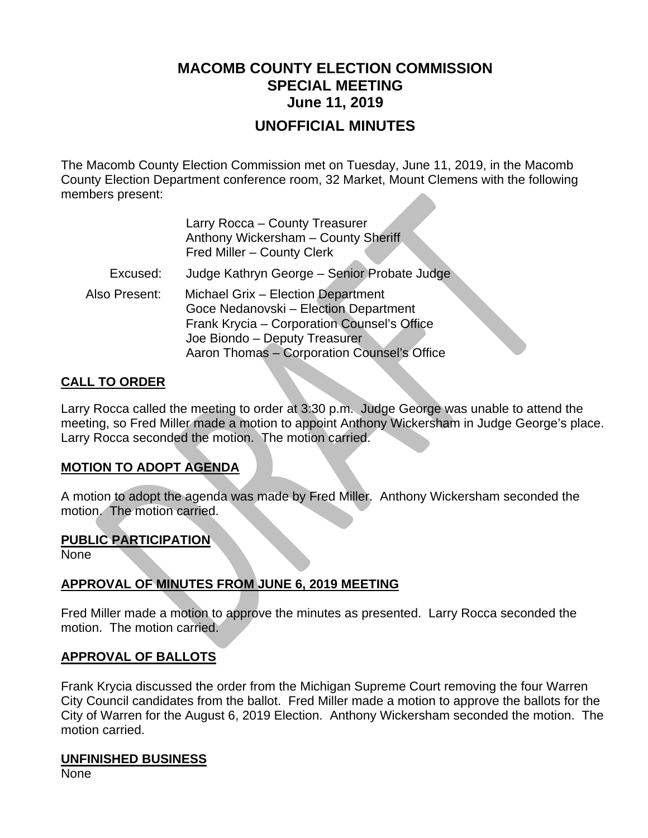# **MACOMB COUNTY ELECTION COMMISSION SPECIAL MEETING June 11, 2019**

## **UNOFFICIAL MINUTES**

The Macomb County Election Commission met on Tuesday, June 11, 2019, in the Macomb County Election Department conference room, 32 Market, Mount Clemens with the following members present:

|               | Larry Rocca - County Treasurer<br>Anthony Wickersham - County Sheriff<br>Fred Miller - County Clerk                                                                                                        |
|---------------|------------------------------------------------------------------------------------------------------------------------------------------------------------------------------------------------------------|
| Excused:      | Judge Kathryn George - Senior Probate Judge                                                                                                                                                                |
| Also Present: | Michael Grix - Election Department<br>Goce Nedanovski - Election Department<br>Frank Krycia - Corporation Counsel's Office<br>Joe Biondo - Deputy Treasurer<br>Aaron Thomas - Corporation Counsel's Office |

#### **CALL TO ORDER**

Larry Rocca called the meeting to order at 3:30 p.m. Judge George was unable to attend the meeting, so Fred Miller made a motion to appoint Anthony Wickersham in Judge George's place. Larry Rocca seconded the motion. The motion carried.

#### **MOTION TO ADOPT AGENDA**

A motion to adopt the agenda was made by Fred Miller. Anthony Wickersham seconded the motion. The motion carried.

#### **PUBLIC PARTICIPATION**

None

#### **APPROVAL OF MINUTES FROM JUNE 6, 2019 MEETING**

Fred Miller made a motion to approve the minutes as presented. Larry Rocca seconded the motion. The motion carried.

#### **APPROVAL OF BALLOTS**

Frank Krycia discussed the order from the Michigan Supreme Court removing the four Warren City Council candidates from the ballot. Fred Miller made a motion to approve the ballots for the City of Warren for the August 6, 2019 Election. Anthony Wickersham seconded the motion. The motion carried.

#### **UNFINISHED BUSINESS**

None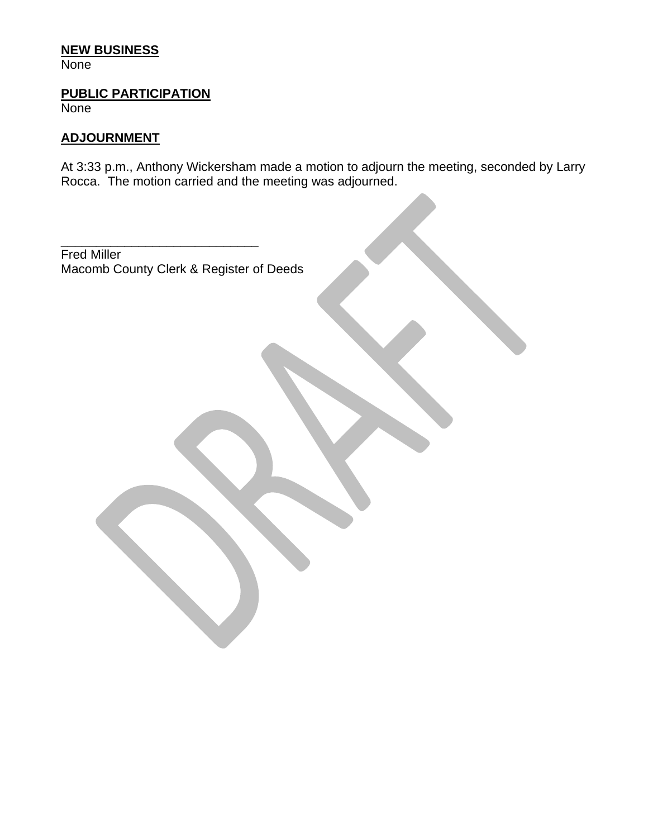#### **NEW BUSINESS**

**None** 

#### **PUBLIC PARTICIPATION**

**None** 

#### **ADJOURNMENT**

At 3:33 p.m., Anthony Wickersham made a motion to adjourn the meeting, seconded by Larry Rocca. The motion carried and the meeting was adjourned.

\_\_\_\_\_\_\_\_\_\_\_\_\_\_\_\_\_\_\_\_\_\_\_\_\_\_\_\_ Fred Miller Macomb County Clerk & Register of Deeds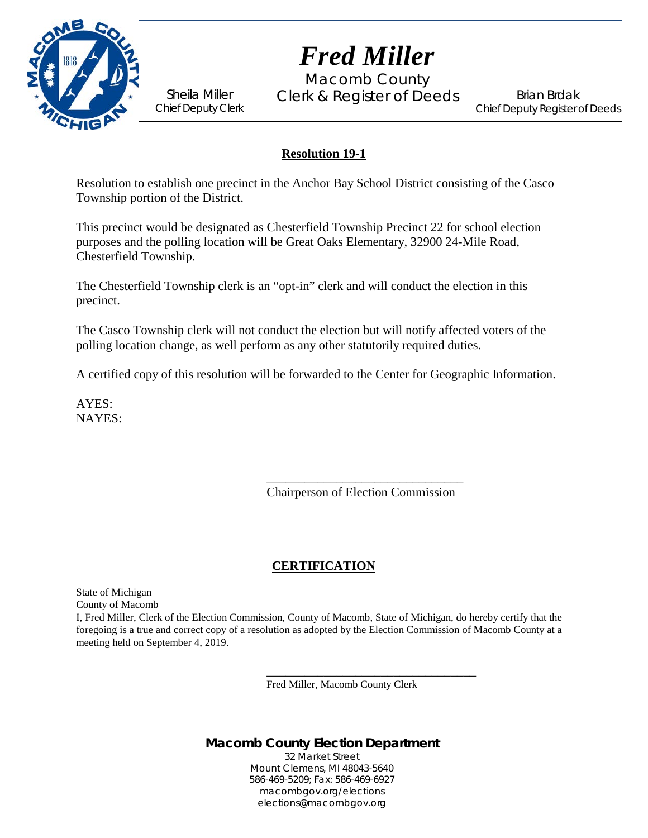

*Fred Miller*

Macomb County Sheila Miller Clerk & Register of Deeds<br>Chief Deputy Clerk

Brian Brdak Chief Deputy Register of Deeds

#### **Resolution 19-1**

Resolution to establish one precinct in the Anchor Bay School District consisting of the Casco Township portion of the District.

This precinct would be designated as Chesterfield Township Precinct 22 for school election purposes and the polling location will be Great Oaks Elementary, 32900 24-Mile Road, Chesterfield Township.

The Chesterfield Township clerk is an "opt-in" clerk and will conduct the election in this precinct.

The Casco Township clerk will not conduct the election but will notify affected voters of the polling location change, as well perform as any other statutorily required duties.

A certified copy of this resolution will be forwarded to the Center for Geographic Information.

AYES: NAYES:

> \_\_\_\_\_\_\_\_\_\_\_\_\_\_\_\_\_\_\_\_\_\_\_\_\_\_\_\_\_\_\_ Chairperson of Election Commission

#### **CERTIFICATION**

State of Michigan County of Macomb

I, Fred Miller, Clerk of the Election Commission, County of Macomb, State of Michigan, do hereby certify that the foregoing is a true and correct copy of a resolution as adopted by the Election Commission of Macomb County at a meeting held on September 4, 2019.

Fred Miller, Macomb County Clerk

\_\_\_\_\_\_\_\_\_\_\_\_\_\_\_\_\_\_\_\_\_\_\_\_\_\_\_\_\_\_\_\_\_

## **Macomb County Election Department**

32 Market Street Mount Clemens, MI 48043-5640 586-469-5209; Fax: 586-469-6927 macombgov.org/elections elections@macombgov.org